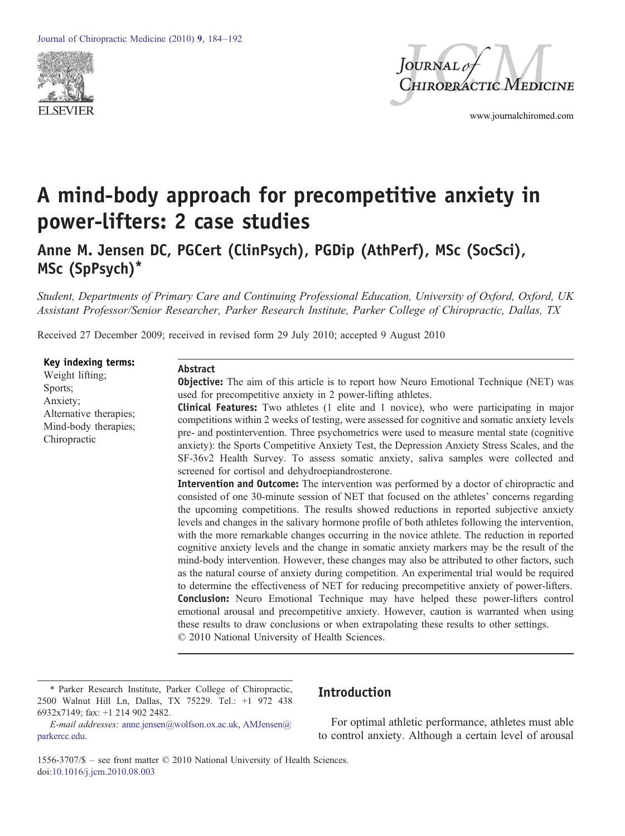



www.journalchiromed.com

# A mind-body approach for precompetitive anxiety in power-lifters: 2 case studies

Anne M. Jensen DC, PGCert (ClinPsych), PGDip (AthPerf), MSc (SocSci), MSc (SpPsych)\*

Student, Departments of Primary Care and Continuing Professional Education, University of Oxford, Oxford, UK Assistant Professor/Senior Researcher, Parker Research Institute, Parker College of Chiropractic, Dallas, TX

Received 27 December 2009; received in revised form 29 July 2010; accepted 9 August 2010

Key indexing terms: Weight lifting; Sports; Anxiety; Alternative therapies; Mind-body therapies; Chiropractic

#### Abstract

**Objective:** The aim of this article is to report how Neuro Emotional Technique (NET) was used for precompetitive anxiety in 2 power-lifting athletes.

Clinical Features: Two athletes (1 elite and 1 novice), who were participating in major competitions within 2 weeks of testing, were assessed for cognitive and somatic anxiety levels pre- and postintervention. Three psychometrics were used to measure mental state (cognitive anxiety): the Sports Competitive Anxiety Test, the Depression Anxiety Stress Scales, and the SF-36v2 Health Survey. To assess somatic anxiety, saliva samples were collected and screened for cortisol and dehydroepiandrosterone.

Intervention and Outcome: The intervention was performed by a doctor of chiropractic and consisted of one 30-minute session of NET that focused on the athletes' concerns regarding the upcoming competitions. The results showed reductions in reported subjective anxiety levels and changes in the salivary hormone profile of both athletes following the intervention, with the more remarkable changes occurring in the novice athlete. The reduction in reported cognitive anxiety levels and the change in somatic anxiety markers may be the result of the mind-body intervention. However, these changes may also be attributed to other factors, such as the natural course of anxiety during competition. An experimental trial would be required to determine the effectiveness of NET for reducing precompetitive anxiety of power-lifters. Conclusion: Neuro Emotional Technique may have helped these power-lifters control emotional arousal and precompetitive anxiety. However, caution is warranted when using these results to draw conclusions or when extrapolating these results to other settings. © 2010 National University of Health Sciences.

⁎ Parker Research Institute, Parker College of Chiropractic, 2500 Walnut Hill Ln, Dallas, TX 75229. Tel.: +1 972 438 6932x7149; fax: +1 214 902 2482.

## Introduction

E-mail addresses: [anne.jensen@wolfson.ox.ac.uk,](mailto:anne.jensen@wolfson.ox.ac.uk) [AMJensen@](mailto:AMJensen@parkercc.edu) [parkercc.edu](mailto:AMJensen@parkercc.edu).

For optimal athletic performance, athletes must able to control anxiety. Although a certain level of arousal

1556-3707/\$ – see front matter © 2010 National University of Health Sciences. doi:[10.1016/j.jcm.2010.08.003](http://dx.doi.org/10.1016/j.jcm.2010.08.003)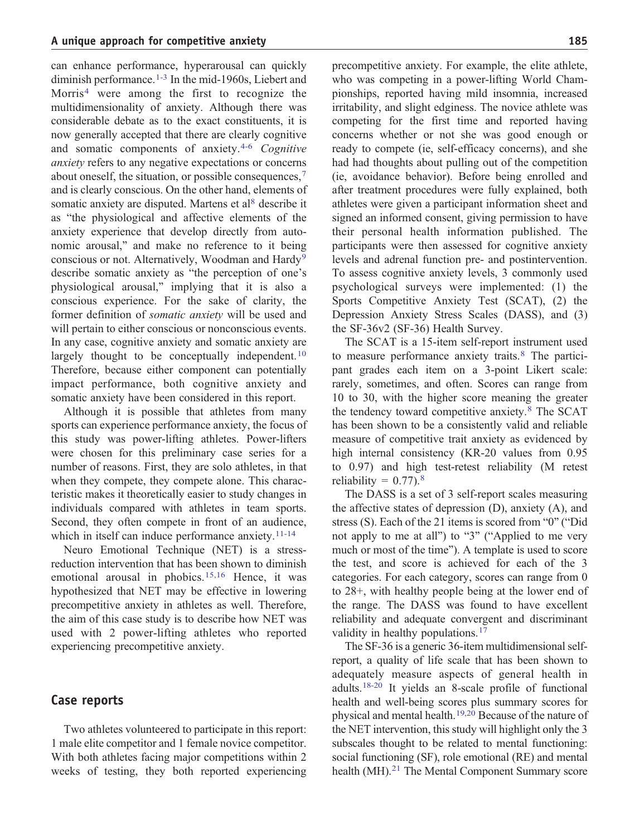can enhance performance, hyperarousal can quickly diminish performance.<sup>[1-3](#page-7-0)</sup> In the mid-1960s, Liebert and Morris<sup>[4](#page-7-0)</sup> were among the first to recognize the multidimensionality of anxiety. Although there was considerable debate as to the exact constituents, it is now generally accepted that there are clearly cognitive and somatic components of anxiety.[4-6](#page-7-0) Cognitive anxiety refers to any negative expectations or concerns about oneself, the situation, or possible consequences,[7](#page-7-0) and is clearly conscious. On the other hand, elements of somatic anxiety are disputed. Martens et a[l](#page-7-0)<sup>[8](#page-7-0)</sup> describe it as "the physiological and affective elements of the anxiety experience that develop directly from autonomic arousal," and make no reference to it being conscious or not. Alternatively, Woodman and Hardy<sup>[9](#page-7-0)</sup> describe somatic anxiety as "the perception of one's physiological arousal," implying that it is also a conscious experience. For the sake of clarity, the former definition of somatic anxiety will be used and will pertain to either conscious or nonconscious events. In any case, cognitive anxiety and somatic anxiety are largely thought to be conceptually independent.  $10$ Therefore, because either component can potentially impact performance, both cognitive anxiety and somatic anxiety have been considered in this report.

Although it is possible that athletes from many sports can experience performance anxiety, the focus of this study was power-lifting athletes. Power-lifters were chosen for this preliminary case series for a number of reasons. First, they are solo athletes, in that when they compete, they compete alone. This characteristic makes it theoretically easier to study changes in individuals compared with athletes in team sports. Second, they often compete in front of an audience, which in itself can induce performance anxiety[.](#page-7-0) $11-14$ 

Neuro Emotional Technique (NET) is a stressreduction intervention that has been shown to diminish emotional arousal in phobics.<sup>[15,16](#page-7-0)</sup> Hence, it was hypothesized that NET may be effective in lowering precompetitive anxiety in athletes as well. Therefore, the aim of this case study is to describe how NET was used with 2 power-lifting athletes who reported experiencing precompetitive anxiety.

#### Case reports

Two athletes volunteered to participate in this report: 1 male elite competitor and 1 female novice competitor. With both athletes facing major competitions within 2 weeks of testing, they both reported experiencing

precompetitive anxiety. For example, the elite athlete, who was competing in a power-lifting World Championships, reported having mild insomnia, increased irritability, and slight edginess. The novice athlete was competing for the first time and reported having concerns whether or not she was good enough or ready to compete (ie, self-efficacy concerns), and she had had thoughts about pulling out of the competition (ie, avoidance behavior). Before being enrolled and after treatment procedures were fully explained, both athletes were given a participant information sheet and signed an informed consent, giving permission to have their personal health information published. The participants were then assessed for cognitive anxiety levels and adrenal function pre- and postintervention. To assess cognitive anxiety levels, 3 commonly used psychological surveys were implemented: (1) the Sports Competitive Anxiety Test (SCAT), (2) the Depression Anxiety Stress Scales (DASS), and (3) the SF-36v2 (SF-36) Health Survey.

The SCAT is a 15-item self-report instrument used to measure performance anxiety traits.<sup>[8](#page-7-0)</sup> The participant grades each item on a 3-point Likert scale: rarely, sometimes, and often. Scores can range from 10 to 30, with the higher score meaning the greater the tendency toward competitive anxiety.[8](#page-7-0) The SCAT has been shown to be a consistently valid and reliable measure of competitive trait anxiety as evidenced by high internal consistency (KR-20 values from 0.95 to 0.97) and high test-retest reliability (M retest reliability =  $0.77$ ).<sup>[8](#page-7-0)</sup>

The DASS is a set of 3 self-report scales measuring the affective states of depression (D), anxiety (A), and stress (S). Each of the 21 items is scored from "0" ("Did not apply to me at all") to "3" ("Applied to me very much or most of the time"). A template is used to score the test, and score is achieved for each of the 3 categories. For each category, scores can range from 0 to 28+, with healthy people being at the lower end of the range. The DASS was found to have excellent reliability and adequate convergent and discriminant validity in healthy populations.<sup>[17](#page-7-0)</sup>

The SF-36 is a generic 36-item multidimensional selfreport, a quality of life scale that has been shown to adequately measure aspects of general health in adults.[18-20](#page-7-0) It yields an 8-scale profile of functional health and well-being scores plus summary scores for physical and mental health.[19,20](#page-7-0) Because of the nature of the NET intervention, this study will highlight only the 3 subscales thought to be related to mental functioning: social functioning (SF), role emotional (RE) and mental health (MH).<sup>[21](#page-7-0)</sup> The Mental Component Summary score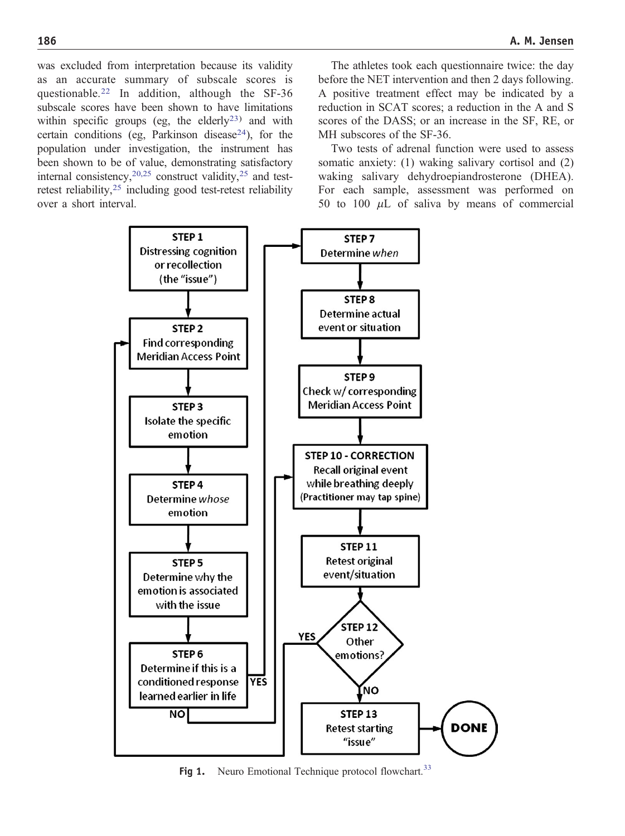<span id="page-2-0"></span>was excluded from interpretation because its validity as an accurate summary of subscale scores is questionable[.](#page-7-0)<sup>[22](#page-7-0)</sup> In addition, although the SF-36 subscale scores have been shown to have limitations within specific groups (eg, the elderly<sup>[23](#page-7-0))</sup> and with certain conditions (eg, Parkinson disease<sup>24</sup>), for the population under investigation, the instrument has been shown to be of value, demonstrating satisfactory internal consistency[,](#page-7-0)  $20,25$  construct validity,  $25$  and test-retest reliability[,](#page-7-0)<sup>[25](#page-7-0)</sup> including good test-retest reliability over a short interval.

The athletes took each questionnaire twice: the day before the NET intervention and then 2 days following. A positive treatment effect may be indicated by a reduction in SCAT scores; a reduction in the A and S scores of the DASS; or an increase in the SF, RE, or MH subscores of the SF-36.

Two tests of adrenal function were used to assess somatic anxiety: (1) waking salivary cortisol and (2) waking salivary dehydroepiandrosterone (DHEA). For each sample, assessment was performed on 50 to 100  $\mu$ L of saliva by means of commercial



Fig 1[.](#page-8-0) Neuro Emotional Technique protocol flowchart.<sup>[33](#page-8-0)</sup>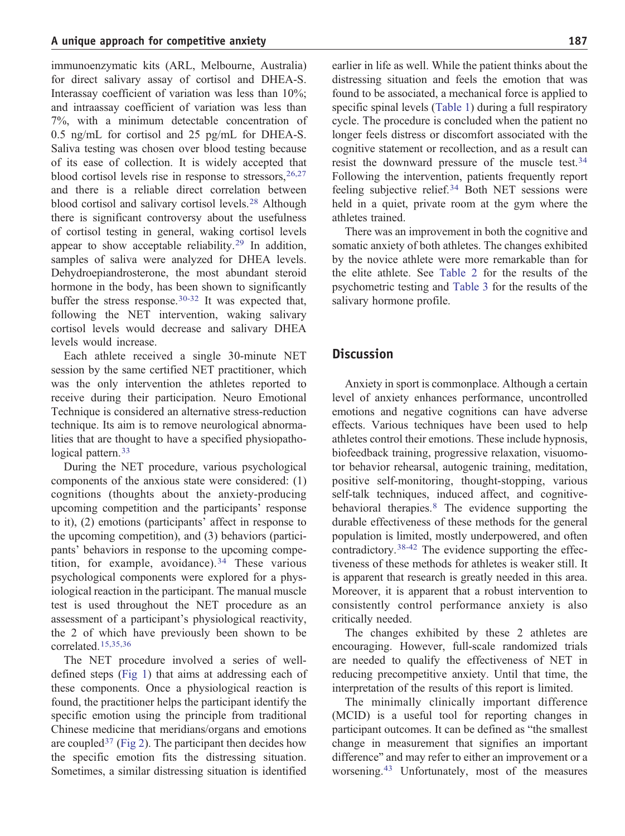immunoenzymatic kits (ARL, Melbourne, Australia) for direct salivary assay of cortisol and DHEA-S. Interassay coefficient of variation was less than 10%; and intraassay coefficient of variation was less than 7%, with a minimum detectable concentration of 0.5 ng/mL for cortisol and 25 pg/mL for DHEA-S. Saliva testing was chosen over blood testing because of its ease of collection. It is widely accepted that blood cortisol levels rise in response to stressors,  $26,27$ and there is a reliable direct correlation between blood cortisol and salivary cortisol levels[.](#page-7-0)[28](#page-7-0) Although there is significant controversy about the usefulness of cortisol testing in general, waking cortisol levels appear to show acceptable reliability.<sup>[29](#page-7-0)</sup> In addition, samples of saliva were analyzed for DHEA levels. Dehydroepiandrosterone, the most abundant steroid hormone in the body, has been shown to significantly buffer the stress response.<sup>[30-32](#page-7-0)</sup> It was expected that, following the NET intervention, waking salivary cortisol levels would decrease and salivary DHEA levels would increase.

Each athlete received a single 30-minute NET session by the same certified NET practitioner, which was the only intervention the athletes reported to receive during their participation. Neuro Emotional Technique is considered an alternative stress-reduction technique. Its aim is to remove neurological abnormalities that are thought to have a specified physiopatho-logical pattern[.](#page-8-0)<sup>[33](#page-8-0)</sup>

During the NET procedure, various psychological components of the anxious state were considered: (1) cognitions (thoughts about the anxiety-producing upcoming competition and the participants' response to it), (2) emotions (participants' affect in response to the upcoming competition), and (3) behaviors (participants' behaviors in response to the upcoming compe-tition, for example, avoidance).<sup>[34](#page-8-0)</sup> These various psychological components were explored for a physiological reaction in the participant. The manual muscle test is used throughout the NET procedure as an assessment of a participant's physiological reactivity, the 2 of which have previously been shown to be correlated.[15,35,36](#page-7-0)

The NET procedure involved a series of welldefined steps [\(Fig 1](#page-2-0)) that aims at addressing each of these components. Once a physiological reaction is found, the practitioner helps the participant identify the specific emotion using the principle from traditional Chinese medicine that meridians/organs and emotions are coupled<sup>[37](#page-8-0)</sup> ([Fig 2](#page-4-0)). The participant then decides how the specific emotion fits the distressing situation. Sometimes, a similar distressing situation is identified

earlier in life as well. While the patient thinks about the distressing situation and feels the emotion that was found to be associated, a mechanical force is applied to specific spinal levels ([Table 1](#page-5-0)) during a full respiratory cycle. The procedure is concluded when the patient no longer feels distress or discomfort associated with the cognitive statement or recollection, and as a result can resist the downward pressure of the muscle test.[34](#page-8-0) Following the intervention, patients frequently report feeling subjective relief.[34](#page-8-0) Both NET sessions were held in a quiet, private room at the gym where the athletes trained.

There was an improvement in both the cognitive and somatic anxiety of both athletes. The changes exhibited by the novice athlete were more remarkable than for the elite athlete. See [Table 2](#page-6-0) for the results of the psychometric testing and [Table 3](#page-6-0) for the results of the salivary hormone profile.

#### **Discussion**

Anxiety in sport is commonplace. Although a certain level of anxiety enhances performance, uncontrolled emotions and negative cognitions can have adverse effects. Various techniques have been used to help athletes control their emotions. These include hypnosis, biofeedback training, progressive relaxation, visuomotor behavior rehearsal, autogenic training, meditation, positive self-monitoring, thought-stopping, various self-talk techniques, induced affect, and cognitive-behavioral therapies.<sup>[8](#page-7-0)</sup> The evidence supporting the durable effectiveness of these methods for the general population is limited, mostly underpowered, and often contradictory[.](#page-8-0)[38-42](#page-8-0) The evidence supporting the effectiveness of these methods for athletes is weaker still. It is apparent that research is greatly needed in this area. Moreover, it is apparent that a robust intervention to consistently control performance anxiety is also critically needed.

The changes exhibited by these 2 athletes are encouraging. However, full-scale randomized trials are needed to qualify the effectiveness of NET in reducing precompetitive anxiety. Until that time, the interpretation of the results of this report is limited.

The minimally clinically important difference (MCID) is a useful tool for reporting changes in participant outcomes. It can be defined as "the smallest change in measurement that signifies an important difference" and may refer to either an improvement or a worsening.[43](#page-8-0) Unfortunately, most of the measures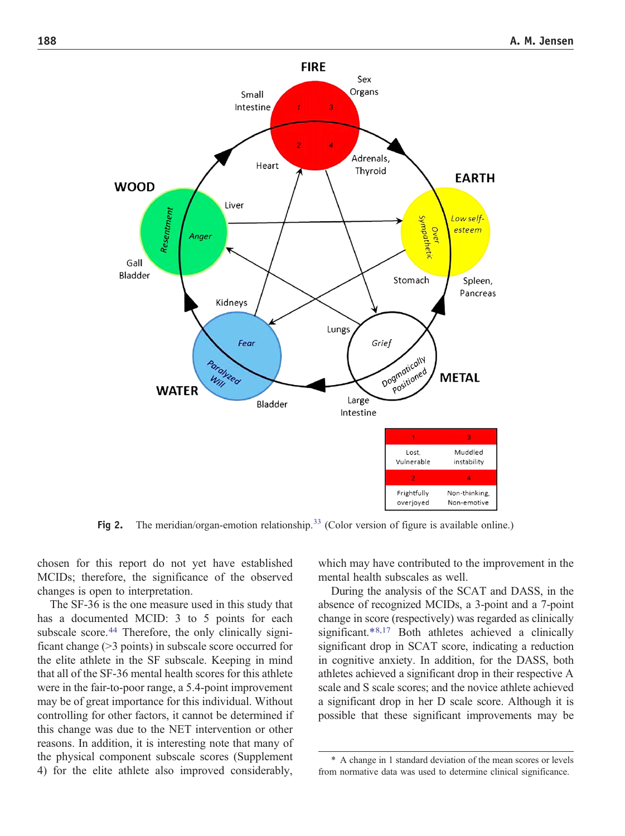<span id="page-4-0"></span>

Fig 2. The meridian/organ-emotion relationship.<sup>[33](#page-8-0)</sup> (Color version of figure is available online.)

chosen for this report do not yet have established MCIDs; therefore, the significance of the observed changes is open to interpretation.

The SF-36 is the one measure used in this study that has a documented MCID: 3 to 5 points for each subscale score[.](#page-8-0)<sup>[44](#page-8-0)</sup> Therefore, the only clinically significant change  $(>3$  points) in subscale score occurred for the elite athlete in the SF subscale. Keeping in mind that all of the SF-36 mental health scores for this athlete were in the fair-to-poor range, a 5.4-point improvement may be of great importance for this individual. Without controlling for other factors, it cannot be determined if this change was due to the NET intervention or other reasons. In addition, it is interesting note that many of the physical component subscale scores (Supplement 4) for the elite athlete also improved considerably, which may have contributed to the improvement in the mental health subscales as well.

During the analysis of the SCAT and DASS, in the absence of recognized MCIDs, a 3-point and a 7-point change in score (respectively) was regarded as clinically significant.\*[8,17](#page-7-0) Both athletes achieved a clinically significant drop in SCAT score, indicating a reduction in cognitive anxiety. In addition, for the DASS, both athletes achieved a significant drop in their respective A scale and S scale scores; and the novice athlete achieved a significant drop in her D scale score. Although it is possible that these significant improvements may be

<sup>\*</sup> A change in 1 standard deviation of the mean scores or levels from normative data was used to determine clinical significance.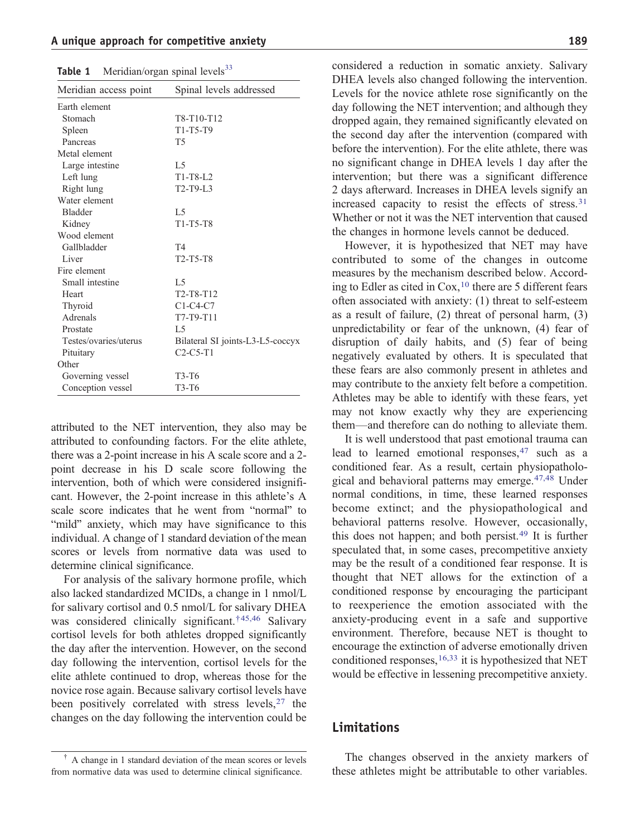<span id="page-5-0"></span>

| Table 1 | Meridian/organ spinal levels <sup>33</sup> |  |
|---------|--------------------------------------------|--|

| Meridian access point | Spinal levels addressed                         |  |  |  |  |
|-----------------------|-------------------------------------------------|--|--|--|--|
| Earth element         |                                                 |  |  |  |  |
| Stomach               | T8-T10-T12                                      |  |  |  |  |
| Spleen                | T1-T5-T9                                        |  |  |  |  |
| Pancreas              | T <sub>5</sub>                                  |  |  |  |  |
| Metal element         |                                                 |  |  |  |  |
| Large intestine       | L5                                              |  |  |  |  |
| Left lung             | $T1-T8-L2$                                      |  |  |  |  |
| Right lung            | T2-T9-L3                                        |  |  |  |  |
| Water element         |                                                 |  |  |  |  |
| <b>Bladder</b>        | L <sub>5</sub>                                  |  |  |  |  |
| Kidney                | T1-T5-T8                                        |  |  |  |  |
| Wood element          |                                                 |  |  |  |  |
| Gallbladder           | T4                                              |  |  |  |  |
| Liver                 | T2-T5-T8                                        |  |  |  |  |
| Fire element          |                                                 |  |  |  |  |
| Small intestine       | L <sub>5</sub>                                  |  |  |  |  |
| Heart                 | T <sub>2</sub> -T <sub>8</sub> -T <sub>12</sub> |  |  |  |  |
| Thyroid               | $C1-C4-C7$                                      |  |  |  |  |
| Adrenals              | T7-T9-T11                                       |  |  |  |  |
| Prostate              | L5                                              |  |  |  |  |
| Testes/ovaries/uterus | Bilateral SI joints-L3-L5-coccyx                |  |  |  |  |
| Pituitary             | $C2-C5-T1$                                      |  |  |  |  |
| Other                 |                                                 |  |  |  |  |
| Governing vessel      | T3-T6                                           |  |  |  |  |
| Conception vessel     | T3-T6                                           |  |  |  |  |

attributed to the NET intervention, they also may be attributed to confounding factors. For the elite athlete, there was a 2-point increase in his A scale score and a 2 point decrease in his D scale score following the intervention, both of which were considered insignificant. However, the 2-point increase in this athlete's A scale score indicates that he went from "normal" to "mild" anxiety, which may have significance to this individual. A change of 1 standard deviation of the mean scores or levels from normative data was used to determine clinical significance.

For analysis of the salivary hormone profile, which also lacked standardized MCIDs, a change in 1 nmol/L for salivary cortisol and 0.5 nmol/L for salivary DHEA was considered clinically significant.†[45,46](#page-8-0) Salivary cortisol levels for both athletes dropped significantly the day after the intervention. However, on the second day following the intervention, cortisol levels for the elite athlete continued to drop, whereas those for the novice rose again. Because salivary cortisol levels have been positively correlated with stress levels[,](#page-7-0)  $27$  the changes on the day following the intervention could be

considered a reduction in somatic anxiety. Salivary DHEA levels also changed following the intervention. Levels for the novice athlete rose significantly on the day following the NET intervention; and although they dropped again, they remained significantly elevated on the second day after the intervention (compared with before the intervention). For the elite athlete, there was no significant change in DHEA levels 1 day after the intervention; but there was a significant difference 2 days afterward. Increases in DHEA levels signify an increased capacity to resist the effects of stress.[31](#page-7-0) Whether or not it was the NET intervention that caused the changes in hormone levels cannot be deduced.

However, it is hypothesized that NET may have contributed to some of the changes in outcome measures by the mechanism described below. According to Edler as cited in  $Cox$ , <sup>[10](#page-7-0)</sup> there are 5 different fears often associated with anxiety: (1) threat to self-esteem as a result of failure, (2) threat of personal harm, (3) unpredictability or fear of the unknown, (4) fear of disruption of daily habits, and (5) fear of being negatively evaluated by others. It is speculated that these fears are also commonly present in athletes and may contribute to the anxiety felt before a competition. Athletes may be able to identify with these fears, yet may not know exactly why they are experiencing them—and therefore can do nothing to alleviate them.

It is well understood that past emotional trauma can lead to learned emotional responses[,](#page-8-0) <sup>[47](#page-8-0)</sup> such as a conditioned fear. As a result, certain physiopatholo-gical and behavioral patterns may emerge.<sup>[47,48](#page-8-0)</sup> Under normal conditions, in time, these learned responses become extinct; and the physiopathological and behavioral patterns resolve. However, occasionally, this does not happen; and both persist.<sup>[49](#page-8-0)</sup> It is further speculated that, in some cases, precompetitive anxiety may be the result of a conditioned fear response. It is thought that NET allows for the extinction of a conditioned response by encouraging the participant to reexperience the emotion associated with the anxiety-producing event in a safe and supportive environment. Therefore, because NET is thought to encourage the extinction of adverse emotionally driven conditioned responses,<sup>[16,33](#page-7-0)</sup> it is hypothesized that NET would be effective in lessening precompetitive anxiety.

#### Limitations

The changes observed in the anxiety markers of these athletes might be attributable to other variables.

<sup>†</sup> A change in 1 standard deviation of the mean scores or levels from normative data was used to determine clinical significance.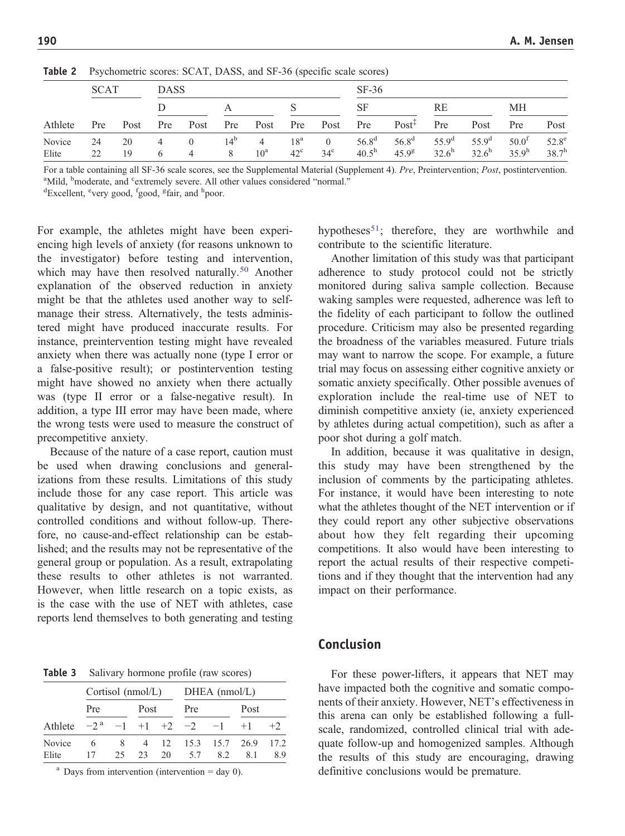|                 | <b>SCAT</b> |          |        | <b>DASS</b>                      |                      |                                |                                 |                                | $SF-36$                      |                        |                              |                                     |                                        |                               |
|-----------------|-------------|----------|--------|----------------------------------|----------------------|--------------------------------|---------------------------------|--------------------------------|------------------------------|------------------------|------------------------------|-------------------------------------|----------------------------------------|-------------------------------|
| Athlete         |             |          |        |                                  |                      |                                |                                 |                                | <b>SF</b>                    |                        | RE                           |                                     | MН                                     |                               |
|                 | Pre         | Post     | Pre    | Post                             | Pre                  | Post                           | $\cdot$ Pre $\cdot$             | Post                           | Pre                          | $Post^{\ddagger}$      | Pre                          | Post                                | Pre                                    | Post                          |
| Novice<br>Elite | 24<br>22    | 20<br>19 | 4<br>6 | $\overline{0}$<br>$\overline{4}$ | 14 <sup>b</sup><br>8 | $\overline{4}$<br>$10^{\rm a}$ | 18 <sup>a</sup><br>$42^{\circ}$ | $\overline{0}$<br>$34^{\circ}$ | $56.8^{d}$<br>$40.5^{\rm h}$ | $56.8^{d}$<br>$45.9^g$ | $55.9^{d}$<br>$32.6^{\rm h}$ | 55.9 <sup>d</sup><br>$32.6^{\rm h}$ | 50.0 <sup>f</sup><br>35.9 <sup>h</sup> | 52.8 <sup>e</sup><br>$38.7^h$ |

<span id="page-6-0"></span>Table 2 Psychometric scores: SCAT, DASS, and SF-36 (specific scale scores)

For a table containing all SF-36 scale scores, see the Supplemental Material (Supplement 4). Pre, Preintervention; Post, postintervention. <sup>a</sup>Mild, <sup>b</sup> moderate, and <sup>c</sup>extremely severe. All other values considered "normal."

Excellent, <sup>e</sup>very good, <sup>f</sup>good, <sup>g</sup>fair, and <sup>h</sup>poor.

For example, the athletes might have been experiencing high levels of anxiety (for reasons unknown to the investigator) before testing and intervention, which may have then resolved naturally.<sup>[50](#page-8-0)</sup> Another explanation of the observed reduction in anxiety might be that the athletes used another way to selfmanage their stress. Alternatively, the tests administered might have produced inaccurate results. For instance, preintervention testing might have revealed anxiety when there was actually none (type I error or a false-positive result); or postintervention testing might have showed no anxiety when there actually was (type II error or a false-negative result). In addition, a type III error may have been made, where the wrong tests were used to measure the construct of precompetitive anxiety.

Because of the nature of a case report, caution must be used when drawing conclusions and generalizations from these results. Limitations of this study include those for any case report. This article was qualitative by design, and not quantitative, without controlled conditions and without follow-up. Therefore, no cause-and-effect relationship can be established; and the results may not be representative of the general group or population. As a result, extrapolating these results to other athletes is not warranted. However, when little research on a topic exists, as is the case with the use of NET with athletes, case reports lend themselves to both generating and testing

**Table 3** Salivary hormone profile (raw scores)

|                 | Cortisol $(nmol/L)$ |          |      |    | $DHEA$ (nmol/L) |                                      |      |            |  |
|-----------------|---------------------|----------|------|----|-----------------|--------------------------------------|------|------------|--|
|                 | Pre                 |          | Post |    | Pre             |                                      | Post |            |  |
| Athlete         |                     |          |      |    |                 | $-2^a$ $-1$ $+1$ $+2$ $-2$ $-1$ $+1$ |      | $+2$       |  |
| Novice<br>Elite | 6<br>17             | 8<br>25. | 23   | 20 | 5.7             | 4 12 15.3 15.7 26.9<br>82            | 81   | 17.2<br>89 |  |

 $a$  Days from intervention (intervention = day 0).

hypotheses<sup>51</sup>; therefore, they are worthwhile and contribute to the scientific literature.

Another limitation of this study was that participant adherence to study protocol could not be strictly monitored during saliva sample collection. Because waking samples were requested, adherence was left to the fidelity of each participant to follow the outlined procedure. Criticism may also be presented regarding the broadness of the variables measured. Future trials may want to narrow the scope. For example, a future trial may focus on assessing either cognitive anxiety or somatic anxiety specifically. Other possible avenues of exploration include the real-time use of NET to diminish competitive anxiety (ie, anxiety experienced by athletes during actual competition), such as after a poor shot during a golf match.

In addition, because it was qualitative in design, this study may have been strengthened by the inclusion of comments by the participating athletes. For instance, it would have been interesting to note what the athletes thought of the NET intervention or if they could report any other subjective observations about how they felt regarding their upcoming competitions. It also would have been interesting to report the actual results of their respective competitions and if they thought that the intervention had any impact on their performance.

#### Conclusion

For these power-lifters, it appears that NET may have impacted both the cognitive and somatic components of their anxiety. However, NET's effectiveness in this arena can only be established following a fullscale, randomized, controlled clinical trial with adequate follow-up and homogenized samples. Although the results of this study are encouraging, drawing definitive conclusions would be premature.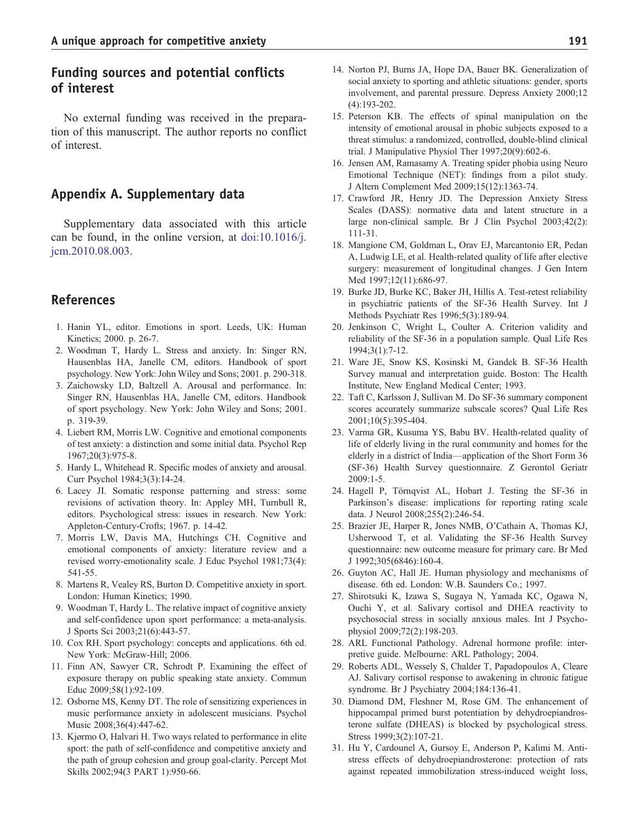### <span id="page-7-0"></span>Funding sources and potential conflicts of interest

No external funding was received in the preparation of this manuscript. The author reports no conflict of interest.

#### Appendix A. Supplementary data

Supplementary data associated with this article can be found, in the online version, at [doi:10.1016/j.](http://dx.doi.org/10.1016/j.jcm.2010.08.003) [jcm.2010.08.003.](http://dx.doi.org/10.1016/j.jcm.2010.08.003)

#### References

- 1. Hanin YL, editor. Emotions in sport. Leeds, UK: Human Kinetics; 2000. p. 26-7.
- 2. Woodman T, Hardy L. Stress and anxiety. In: Singer RN, Hausenblas HA, Janelle CM, editors. Handbook of sport psychology. New York: John Wiley and Sons; 2001. p. 290-318.
- 3. Zaichowsky LD, Baltzell A. Arousal and performance. In: Singer RN, Hausenblas HA, Janelle CM, editors. Handbook of sport psychology. New York: John Wiley and Sons; 2001. p. 319-39.
- 4. Liebert RM, Morris LW. Cognitive and emotional components of test anxiety: a distinction and some initial data. Psychol Rep 1967;20(3):975-8.
- 5. Hardy L, Whitehead R. Specific modes of anxiety and arousal. Curr Psychol 1984;3(3):14-24.
- 6. Lacey JI. Somatic response patterning and stress: some revisions of activation theory. In: Appley MH, Turnbull R, editors. Psychological stress: issues in research. New York: Appleton-Century-Crofts; 1967. p. 14-42.
- 7. Morris LW, Davis MA, Hutchings CH. Cognitive and emotional components of anxiety: literature review and a revised worry-emotionality scale. J Educ Psychol 1981;73(4): 541-55.
- 8. Martens R, Vealey RS, Burton D. Competitive anxiety in sport. London: Human Kinetics; 1990.
- 9. Woodman T, Hardy L. The relative impact of cognitive anxiety and self-confidence upon sport performance: a meta-analysis. J Sports Sci 2003;21(6):443-57.
- 10. Cox RH. Sport psychology: concepts and applications. 6th ed. New York: McGraw-Hill; 2006.
- 11. Finn AN, Sawyer CR, Schrodt P. Examining the effect of exposure therapy on public speaking state anxiety. Commun Educ 2009;58(1):92-109.
- 12. Osborne MS, Kenny DT. The role of sensitizing experiences in music performance anxiety in adolescent musicians. Psychol Music 2008;36(4):447-62.
- 13. Kjørmo O, Halvari H. Two ways related to performance in elite sport: the path of self-confidence and competitive anxiety and the path of group cohesion and group goal-clarity. Percept Mot Skills 2002;94(3 PART 1):950-66.
- 
- 14. Norton PJ, Burns JA, Hope DA, Bauer BK. Generalization of social anxiety to sporting and athletic situations: gender, sports involvement, and parental pressure. Depress Anxiety 2000;12 (4):193-202.
- 15. Peterson KB. The effects of spinal manipulation on the intensity of emotional arousal in phobic subjects exposed to a threat stimulus: a randomized, controlled, double-blind clinical trial. J Manipulative Physiol Ther 1997;20(9):602-6.
- 16. Jensen AM, Ramasamy A. Treating spider phobia using Neuro Emotional Technique (NET): findings from a pilot study. J Altern Complement Med 2009;15(12):1363-74.
- 17. Crawford JR, Henry JD. The Depression Anxiety Stress Scales (DASS): normative data and latent structure in a large non-clinical sample. Br J Clin Psychol 2003;42(2): 111-31.
- 18. Mangione CM, Goldman L, Orav EJ, Marcantonio ER, Pedan A, Ludwig LE, et al. Health-related quality of life after elective surgery: measurement of longitudinal changes. J Gen Intern Med 1997;12(11):686-97.
- 19. Burke JD, Burke KC, Baker JH, Hillis A. Test-retest reliability in psychiatric patients of the SF-36 Health Survey. Int J Methods Psychiatr Res 1996;5(3):189-94.
- 20. Jenkinson C, Wright L, Coulter A. Criterion validity and reliability of the SF-36 in a population sample. Qual Life Res 1994;3(1):7-12.
- 21. Ware JE, Snow KS, Kosinski M, Gandek B. SF-36 Health Survey manual and interpretation guide. Boston: The Health Institute, New England Medical Center; 1993.
- 22. Taft C, Karlsson J, Sullivan M. Do SF-36 summary component scores accurately summarize subscale scores? Qual Life Res 2001;10(5):395-404.
- 23. Varma GR, Kusuma YS, Babu BV. Health-related quality of life of elderly living in the rural community and homes for the elderly in a district of India—application of the Short Form 36 (SF-36) Health Survey questionnaire. Z Gerontol Geriatr 2009:1-5.
- 24. Hagell P, Törnqvist AL, Hobart J. Testing the SF-36 in Parkinson's disease: implications for reporting rating scale data. J Neurol 2008;255(2):246-54.
- 25. Brazier JE, Harper R, Jones NMB, O'Cathain A, Thomas KJ, Usherwood T, et al. Validating the SF-36 Health Survey questionnaire: new outcome measure for primary care. Br Med J 1992;305(6846):160-4.
- 26. Guyton AC, Hall JE. Human physiology and mechanisms of disease. 6th ed. London: W.B. Saunders Co.; 1997.
- 27. Shirotsuki K, Izawa S, Sugaya N, Yamada KC, Ogawa N, Ouchi Y, et al. Salivary cortisol and DHEA reactivity to psychosocial stress in socially anxious males. Int J Psychophysiol 2009;72(2):198-203.
- 28. ARL Functional Pathology. Adrenal hormone profile: interpretive guide. Melbourne: ARL Pathology; 2004.
- 29. Roberts ADL, Wessely S, Chalder T, Papadopoulos A, Cleare AJ. Salivary cortisol response to awakening in chronic fatigue syndrome. Br J Psychiatry 2004;184:136-41.
- 30. Diamond DM, Fleshner M, Rose GM. The enhancement of hippocampal primed burst potentiation by dehydroepiandrosterone sulfate (DHEAS) is blocked by psychological stress. Stress 1999;3(2):107-21.
- 31. Hu Y, Cardounel A, Gursoy E, Anderson P, Kalimi M. Antistress effects of dehydroepiandrosterone: protection of rats against repeated immobilization stress-induced weight loss,